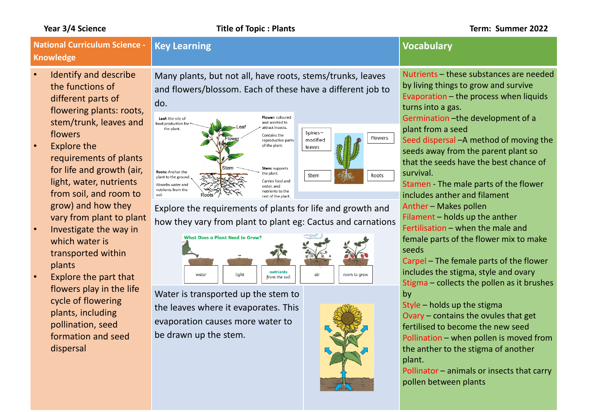### **National Curriculum Science - Knowledge Key Learning Vocabulary**

do.

- Identify and describe the functions of different parts of flowering plants: roots, stem/trunk, leaves and flowers
- **Explore the** requirements of plants for life and growth (air, light, water, nutrients from soil, and room to grow) and how they vary from plant to plant
- Investigate the way in which water is transported within plants
- Explore the part that flowers play in the life cycle of flowering plants, including pollination, seed formation and seed dispersal

Many plants, but not all, have roots, stems/trunks, leaves and flowers/blossom. Each of these have a different job to



Explore the requirements of plants for life and growth and how they vary from plant to plant eg: Cactus and carnations

What Does a Plant Need to Grow? nutrients light water air room to grow from the soil

Water is transported up the stem to the leaves where it evaporates. This evaporation causes more water to be drawn up the stem.



Nutrients – these substances are needed by living things to grow and survive Evaporation – the process when liquids turns into a gas.

Germination –the development of a plant from a seed

Seed dispersal –A method of moving the seeds away from the parent plant so that the seeds have the best chance of survival.

Stamen - The male parts of the flower includes anther and filament Anther – Makes pollen

Filament – holds up the anther Fertilisation – when the male and female parts of the flower mix to make seeds

Carpel – The female parts of the flower includes the stigma, style and ovary Stigma – collects the pollen as it brushes by

Style – holds up the stigma Ovary – contains the ovules that get fertilised to become the new seed Pollination – when pollen is moved from the anther to the stigma of another plant.

Pollinator – animals or insects that carry pollen between plants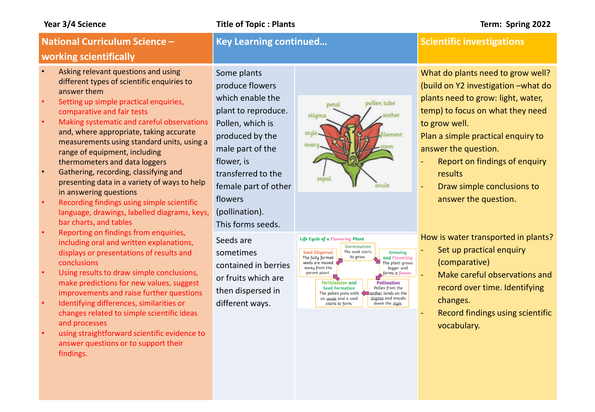### **Year 3/4 Science Title of Topic : Plants Term: Spring 2022**

Some plants

# **National Curriculum Science – working scientifically**

- Asking relevant questions and using different types of scientific enquiries to answer them
- Setting up simple practical enquiries, comparative and fair tests
- Making systematic and careful observations and, where appropriate, taking accurate measurements using standard units, using a range of equipment, including thermometers and data loggers
- Gathering, recording, classifying and presenting data in a variety of ways to help in answering questions
- Recording findings using simple scientific language, drawings, labelled diagrams, keys, bar charts, and tables
- Reporting on findings from enquiries, including oral and written explanations, displays or presentations of results and conclusions
- Using results to draw simple conclusions, make predictions for new values, suggest improvements and raise further questions
- Identifying differences, similarities or changes related to simple scientific ideas and processes
- using straightforward scientific evidence to answer questions or to support their findings.

produce flowers which enable the plant to reproduce. Pollen, which is produced by the male part of the flower, is transferred to the female part of other flowers (pollination). This forms seeds. Seeds are sometimes contained in berries or fruits which are then dispersed in different ways.





## **Key Learning continued... Scientific investigations**

What do plants need to grow well? (build on Y2 investigation –what do plants need to grow: light, water, temp) to focus on what they need to grow well.

Plan a simple practical enquiry to answer the question.

- Report on findings of enquiry results
- Draw simple conclusions to answer the question.

How is water transported in plants?

- Set up practical enquiry (comparative)
- Make careful observations and record over time. Identifying changes.
- Record findings using scientific vocabulary.